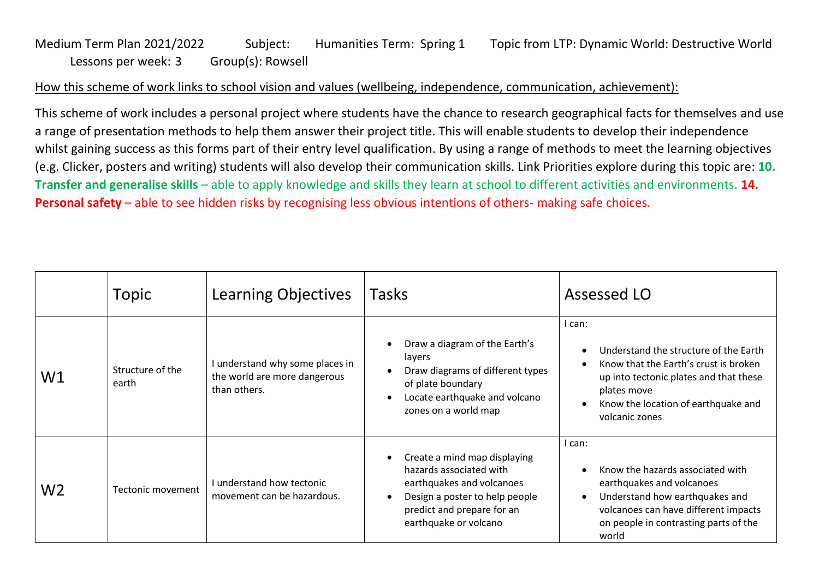## Medium Term Plan 2021/2022 Subject: Humanities Term: Spring 1 Topic from LTP: Dynamic World: Destructive World Lessons per week: 3 Group(s): Rowsell

## How this scheme of work links to school vision and values (wellbeing, independence, communication, achievement):

This scheme of work includes a personal project where students have the chance to research geographical facts for themselves and use a range of presentation methods to help them answer their project title. This will enable students to develop their independence whilst gaining success as this forms part of their entry level qualification. By using a range of methods to meet the learning objectives (e.g. Clicker, posters and writing) students will also develop their communication skills. Link Priorities explore during this topic are: **10. Transfer and generalise skills** – able to apply knowledge and skills they learn at school to different activities and environments. **14. Personal safety** – able to see hidden risks by recognising less obvious intentions of others- making safe choices.

|                | Topic                     | Learning Objectives                                                             | Tasks                                                                                                                                                                               | Assessed LO                                                                                                                                                                                                |  |
|----------------|---------------------------|---------------------------------------------------------------------------------|-------------------------------------------------------------------------------------------------------------------------------------------------------------------------------------|------------------------------------------------------------------------------------------------------------------------------------------------------------------------------------------------------------|--|
| W1             | Structure of the<br>earth | I understand why some places in<br>the world are more dangerous<br>than others. | Draw a diagram of the Earth's<br>$\bullet$<br>layers<br>Draw diagrams of different types<br>of plate boundary<br>Locate earthquake and volcano<br>$\bullet$<br>zones on a world map | l can:<br>Understand the structure of the Earth<br>Know that the Earth's crust is broken<br>up into tectonic plates and that these<br>plates move<br>Know the location of earthquake and<br>volcanic zones |  |
| W <sub>2</sub> | Tectonic movement         | I understand how tectonic<br>movement can be hazardous.                         | Create a mind map displaying<br>hazards associated with<br>earthquakes and volcanoes<br>Design a poster to help people<br>predict and prepare for an<br>earthquake or volcano       | l can:<br>Know the hazards associated with<br>earthquakes and volcanoes<br>Understand how earthquakes and<br>volcanoes can have different impacts<br>on people in contrasting parts of the<br>world        |  |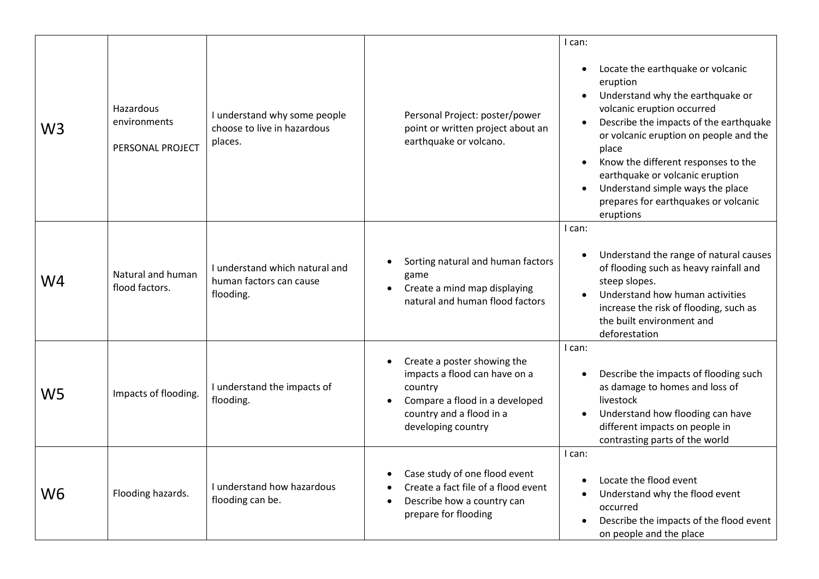| W3 | Hazardous<br>environments<br>PERSONAL PROJECT | I understand why some people<br>choose to live in hazardous<br>places. | Personal Project: poster/power<br>point or written project about an<br>earthquake or volcano.                                                               | I can:<br>Locate the earthquake or volcanic<br>$\bullet$<br>eruption<br>Understand why the earthquake or<br>volcanic eruption occurred<br>Describe the impacts of the earthquake<br>or volcanic eruption on people and the<br>place<br>Know the different responses to the<br>earthquake or volcanic eruption<br>Understand simple ways the place<br>prepares for earthquakes or volcanic<br>eruptions |
|----|-----------------------------------------------|------------------------------------------------------------------------|-------------------------------------------------------------------------------------------------------------------------------------------------------------|--------------------------------------------------------------------------------------------------------------------------------------------------------------------------------------------------------------------------------------------------------------------------------------------------------------------------------------------------------------------------------------------------------|
| W4 | Natural and human<br>flood factors.           | I understand which natural and<br>human factors can cause<br>flooding. | Sorting natural and human factors<br>game<br>Create a mind map displaying<br>natural and human flood factors                                                | I can:<br>Understand the range of natural causes<br>of flooding such as heavy rainfall and<br>steep slopes.<br>Understand how human activities<br>increase the risk of flooding, such as<br>the built environment and<br>deforestation                                                                                                                                                                 |
| W5 | Impacts of flooding.                          | I understand the impacts of<br>flooding.                               | Create a poster showing the<br>impacts a flood can have on a<br>country<br>Compare a flood in a developed<br>country and a flood in a<br>developing country | I can:<br>Describe the impacts of flooding such<br>as damage to homes and loss of<br>livestock<br>Understand how flooding can have<br>different impacts on people in<br>contrasting parts of the world                                                                                                                                                                                                 |
| W6 | Flooding hazards.                             | I understand how hazardous<br>flooding can be.                         | Case study of one flood event<br>Create a fact file of a flood event<br>Describe how a country can<br>prepare for flooding                                  | I can:<br>Locate the flood event<br>Understand why the flood event<br>occurred<br>Describe the impacts of the flood event<br>on people and the place                                                                                                                                                                                                                                                   |